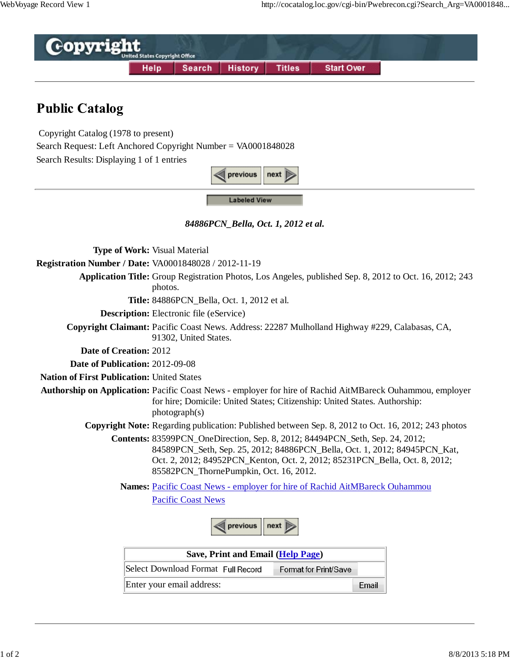

## **Public Catalog**

Copyright Catalog (1978 to present)

Search Request: Left Anchored Copyright Number = VA0001848028

Search Results: Displaying 1 of 1 entries



**Labeled View** 

*84886PCN\_Bella, Oct. 1, 2012 et al.*

**Type of Work:** Visual Material

**Registration Number / Date:** VA0001848028 / 2012-11-19

**Application Title:** Group Registration Photos, Los Angeles, published Sep. 8, 2012 to Oct. 16, 2012; 243

photos.

**Title:** 84886PCN Bella, Oct. 1, 2012 et al.

**Description:** Electronic file (eService)

**Copyright Claimant:** Pacific Coast News. Address: 22287 Mulholland Highway #229, Calabasas, CA, 91302, United States.

**Date of Creation:** 2012

**Date of Publication:** 2012-09-08

**Nation of First Publication:** United States

**Authorship on Application:** Pacific Coast News - employer for hire of Rachid AitMBareck Ouhammou, employer for hire; Domicile: United States; Citizenship: United States. Authorship: photograph(s)

**Copyright Note:** Regarding publication: Published between Sep. 8, 2012 to Oct. 16, 2012; 243 photos

**Contents:** 83599PCN\_OneDirection, Sep. 8, 2012; 84494PCN\_Seth, Sep. 24, 2012; 84589PCN\_Seth, Sep. 25, 2012; 84886PCN\_Bella, Oct. 1, 2012; 84945PCN\_Kat, Oct. 2, 2012; 84952PCN\_Kenton, Oct. 2, 2012; 85231PCN\_Bella, Oct. 8, 2012; 85582PCN\_ThornePumpkin, Oct. 16, 2012.

**Names:** Pacific Coast News - employer for hire of Rachid AitMBareck Ouhammou Pacific Coast News



| Save, Print and Email (Help Page)  |                       |       |
|------------------------------------|-----------------------|-------|
| Select Download Format Full Record | Format for Print/Save |       |
| Enter your email address:          |                       | Fmail |